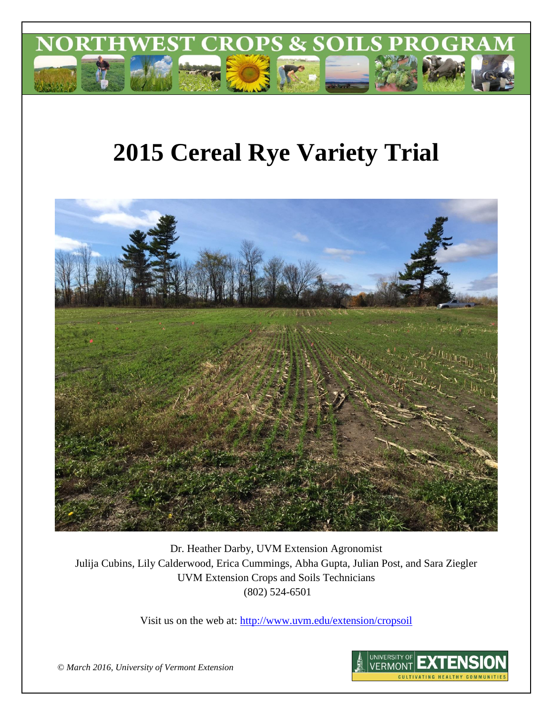

# **2015 Cereal Rye Variety Trial**



Dr. Heather Darby, UVM Extension Agronomist Julija Cubins, Lily Calderwood, Erica Cummings, Abha Gupta, Julian Post, and Sara Ziegler UVM Extension Crops and Soils Technicians (802) 524-6501

Visit us on the web at:<http://www.uvm.edu/extension/cropsoil>



*© March 2016, University of Vermont Extension*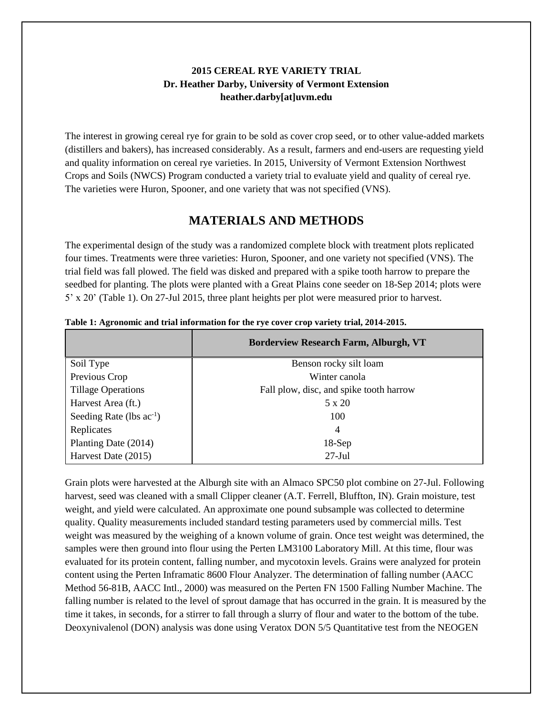## **2015 CEREAL RYE VARIETY TRIAL Dr. Heather Darby, University of Vermont Extension heather.darby[at]uvm.edu**

The interest in growing cereal rye for grain to be sold as cover crop seed, or to other value-added markets (distillers and bakers), has increased considerably. As a result, farmers and end-users are requesting yield and quality information on cereal rye varieties. In 2015, University of Vermont Extension Northwest Crops and Soils (NWCS) Program conducted a variety trial to evaluate yield and quality of cereal rye. The varieties were Huron, Spooner, and one variety that was not specified (VNS).

# **MATERIALS AND METHODS**

The experimental design of the study was a randomized complete block with treatment plots replicated four times. Treatments were three varieties: Huron, Spooner, and one variety not specified (VNS). The trial field was fall plowed. The field was disked and prepared with a spike tooth harrow to prepare the seedbed for planting. The plots were planted with a Great Plains cone seeder on 18-Sep 2014; plots were 5' x 20' (Table 1). On 27-Jul 2015, three plant heights per plot were measured prior to harvest.

|                               | <b>Borderview Research Farm, Alburgh, VT</b> |
|-------------------------------|----------------------------------------------|
| Soil Type                     | Benson rocky silt loam                       |
| Previous Crop                 | Winter canola                                |
| <b>Tillage Operations</b>     | Fall plow, disc, and spike tooth harrow      |
| Harvest Area (ft.)            | $5 \times 20$                                |
| Seeding Rate (lbs $ac^{-1}$ ) | 100                                          |
| Replicates                    | $\overline{4}$                               |
| Planting Date (2014)          | $18-Sep$                                     |
| Harvest Date (2015)           | $27$ -Jul                                    |

**Table 1: Agronomic and trial information for the rye cover crop variety trial, 2014-2015.**

Grain plots were harvested at the Alburgh site with an Almaco SPC50 plot combine on 27-Jul. Following harvest, seed was cleaned with a small Clipper cleaner (A.T. Ferrell, Bluffton, IN). Grain moisture, test weight, and yield were calculated. An approximate one pound subsample was collected to determine quality. Quality measurements included standard testing parameters used by commercial mills. Test weight was measured by the weighing of a known volume of grain. Once test weight was determined, the samples were then ground into flour using the Perten LM3100 Laboratory Mill. At this time, flour was evaluated for its protein content, falling number, and mycotoxin levels. Grains were analyzed for protein content using the Perten Inframatic 8600 Flour Analyzer. The determination of falling number (AACC Method 56-81B, AACC Intl., 2000) was measured on the Perten FN 1500 Falling Number Machine. The falling number is related to the level of sprout damage that has occurred in the grain. It is measured by the time it takes, in seconds, for a stirrer to fall through a slurry of flour and water to the bottom of the tube. Deoxynivalenol (DON) analysis was done using Veratox DON 5/5 Quantitative test from the NEOGEN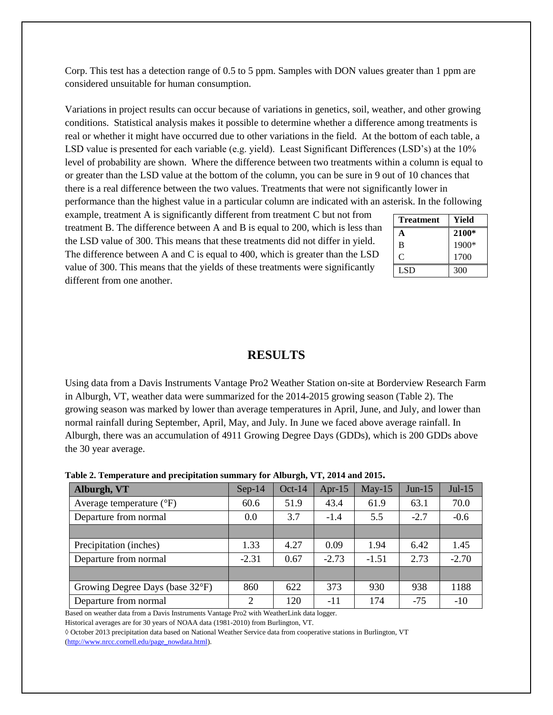Corp. This test has a detection range of 0.5 to 5 ppm. Samples with DON values greater than 1 ppm are considered unsuitable for human consumption.

Variations in project results can occur because of variations in genetics, soil, weather, and other growing conditions. Statistical analysis makes it possible to determine whether a difference among treatments is real or whether it might have occurred due to other variations in the field. At the bottom of each table, a LSD value is presented for each variable (e.g. yield). Least Significant Differences (LSD's) at the 10% level of probability are shown. Where the difference between two treatments within a column is equal to or greater than the LSD value at the bottom of the column, you can be sure in 9 out of 10 chances that there is a real difference between the two values. Treatments that were not significantly lower in performance than the highest value in a particular column are indicated with an asterisk. In the following

example, treatment A is significantly different from treatment C but not from treatment B. The difference between A and B is equal to 200, which is less than the LSD value of 300. This means that these treatments did not differ in yield. The difference between A and C is equal to 400, which is greater than the LSD value of 300. This means that the yields of these treatments were significantly different from one another.

| <b>Treatment</b> | Yield |
|------------------|-------|
| А                | 2100* |
| B                | 1900* |
| C                | 1700  |
| LSD.             | 300   |

### **RESULTS**

Using data from a Davis Instruments Vantage Pro2 Weather Station on-site at Borderview Research Farm in Alburgh, VT, weather data were summarized for the 2014-2015 growing season (Table 2). The growing season was marked by lower than average temperatures in April, June, and July, and lower than normal rainfall during September, April, May, and July. In June we faced above average rainfall. In Alburgh, there was an accumulation of 4911 Growing Degree Days (GDDs), which is 200 GDDs above the 30 year average.

| Table 2. Temperature and precipitation summary for Alburgh, VT, 2014 and 2015. |  |
|--------------------------------------------------------------------------------|--|
|--------------------------------------------------------------------------------|--|

| Alburgh, VT                         | $Sep-14$ | $Oct-14$ | Apr- $15$ | $May-15$ | $Jun-15$ | $Jul-15$ |
|-------------------------------------|----------|----------|-----------|----------|----------|----------|
| Average temperature $({}^{\circ}F)$ | 60.6     | 51.9     | 43.4      | 61.9     | 63.1     | 70.0     |
| Departure from normal               | 0.0      | 3.7      | $-1.4$    | 5.5      | $-2.7$   | $-0.6$   |
|                                     |          |          |           |          |          |          |
| Precipitation (inches)              | 1.33     | 4.27     | 0.09      | 1.94     | 6.42     | 1.45     |
| Departure from normal               | $-2.31$  | 0.67     | $-2.73$   | $-1.51$  | 2.73     | $-2.70$  |
|                                     |          |          |           |          |          |          |
| Growing Degree Days (base 32°F)     | 860      | 622      | 373       | 930      | 938      | 1188     |
| Departure from normal               | 2        | 120      | $-11$     | 174      | $-75$    | $-10$    |

Based on weather data from a Davis Instruments Vantage Pro2 with WeatherLink data logger.

Historical averages are for 30 years of NOAA data (1981-2010) from Burlington, VT.

◊ October 2013 precipitation data based on National Weather Service data from cooperative stations in Burlington, VT [\(http://www.nrcc.cornell.edu/page\\_nowdata.html\)](http://www.nrcc.cornell.edu/page_nowdata.html).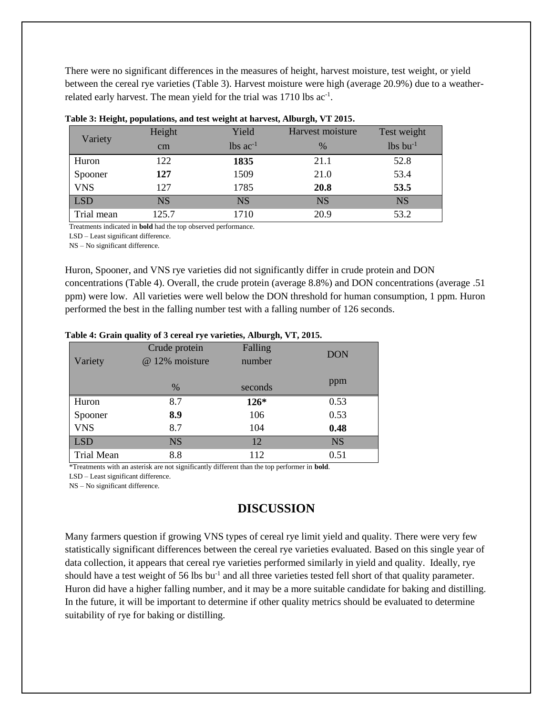There were no significant differences in the measures of height, harvest moisture, test weight, or yield between the cereal rye varieties (Table 3). Harvest moisture were high (average 20.9%) due to a weatherrelated early harvest. The mean yield for the trial was  $1710$  lbs  $ac^{-1}$ .

| Variety    | Height    | Yield         | Harvest moisture | Test weight      |
|------------|-----------|---------------|------------------|------------------|
|            | cm        | lbs $ac^{-1}$ | $\frac{0}{0}$    | $lbs$ bu $^{-1}$ |
| Huron      | 122       | 1835          | 21.1             | 52.8             |
| Spooner    | 127       | 1509          | 21.0             | 53.4             |
| <b>VNS</b> | 127       | 1785          | 20.8             | 53.5             |
| <b>LSD</b> | <b>NS</b> | <b>NS</b>     | <b>NS</b>        | <b>NS</b>        |
| Trial mean | 125.7     | 1710          | 20.9             | 53.2             |

| Table 3: Height, populations, and test weight at harvest, Alburgh, VT 2015. |  |
|-----------------------------------------------------------------------------|--|
|-----------------------------------------------------------------------------|--|

Treatments indicated in **bold** had the top observed performance.

LSD – Least significant difference.

NS – No significant difference.

Huron, Spooner, and VNS rye varieties did not significantly differ in crude protein and DON concentrations (Table 4). Overall, the crude protein (average 8.8%) and DON concentrations (average .51 ppm) were low. All varieties were well below the DON threshold for human consumption, 1 ppm. Huron performed the best in the falling number test with a falling number of 126 seconds.

#### Variety Crude protein @ 12% moisture Falling number seconds DON ppm % Huron 8.7 **126\*** 0.53 Spooner **8.9** 106 0.53 VNS 8.7 104 **0.48** LSD NS 12 NS

#### **Table 4: Grain quality of 3 cereal rye varieties, Alburgh, VT, 2015.**

\*Treatments with an asterisk are not significantly different than the top performer in **bold**.

Trial Mean 8.8 112 0.51

LSD – Least significant difference.

NS – No significant difference.

## **DISCUSSION**

Many farmers question if growing VNS types of cereal rye limit yield and quality. There were very few statistically significant differences between the cereal rye varieties evaluated. Based on this single year of data collection, it appears that cereal rye varieties performed similarly in yield and quality. Ideally, rye should have a test weight of 56 lbs bu<sup>-1</sup> and all three varieties tested fell short of that quality parameter. Huron did have a higher falling number, and it may be a more suitable candidate for baking and distilling. In the future, it will be important to determine if other quality metrics should be evaluated to determine suitability of rye for baking or distilling.